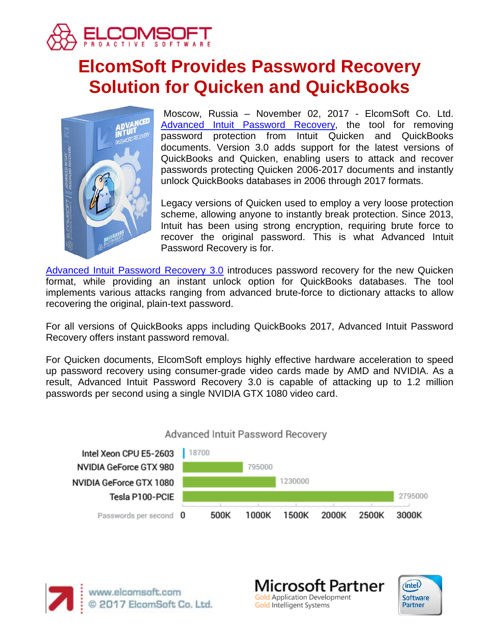

# **ElcomSoft Provides Password Recovery Solution for Quicken and QuickBooks**



Moscow, Russia – November 02, 2017 - ElcomSoft Co. Ltd. [Advanced Intuit Password Recovery,](https://www.elcomsoft.com/ainpr.html) the tool for removing password protection from Intuit Quicken and QuickBooks documents. Version 3.0 adds support for the latest versions of QuickBooks and Quicken, enabling users to attack and recover passwords protecting Quicken 2006-2017 documents and instantly unlock QuickBooks databases in 2006 through 2017 formats.

Legacy versions of Quicken used to employ a very loose protection scheme, allowing anyone to instantly break protection. Since 2013, Intuit has been using strong encryption, requiring brute force to recover the original password. This is what Advanced Intuit Password Recovery is for.

[Advanced Intuit Password Recovery 3.0](https://www.elcomsoft.com/ainpr.html) introduces password recovery for the new Quicken format, while providing an instant unlock option for QuickBooks databases. The tool implements various attacks ranging from advanced brute-force to dictionary attacks to allow recovering the original, plain-text password.

For all versions of QuickBooks apps including QuickBooks 2017, Advanced Intuit Password Recovery offers instant password removal.

For Quicken documents, ElcomSoft employs highly effective hardware acceleration to speed up password recovery using consumer-grade video cards made by AMD and NVIDIA. As a result, Advanced Intuit Password Recovery 3.0 is capable of attacking up to 1.2 million passwords per second using a single NVIDIA GTX 1080 video card.